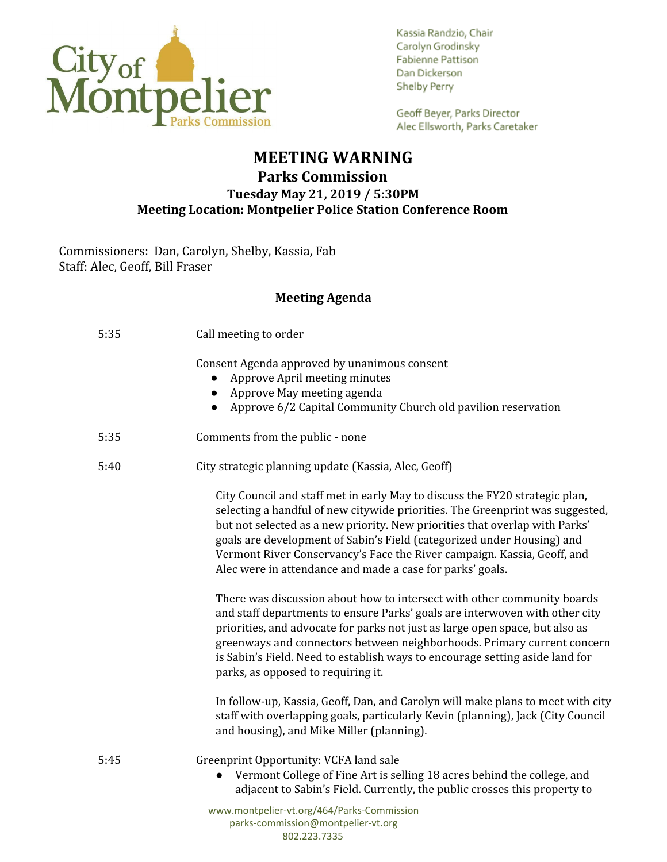

Kassia Randzio, Chair Carolyn Grodinsky Fabienne Pattison Dan Dickerson **Shelby Perry** 

Geoff Beyer, Parks Director Alec Ellsworth, Parks Caretaker

## **MEETING WARNING Parks Commission Tuesday May 21, 2019 / 5:30PM Meeting Location: Montpelier Police Station Conference Room**

Commissioners: Dan, Carolyn, Shelby, Kassia, Fab Staff: Alec, Geoff, Bill Fraser

## **Meeting Agenda**

| 5:35 | Call meeting to order                                                                                                                                                                                                                                                                                                                                                                                                                                         |
|------|---------------------------------------------------------------------------------------------------------------------------------------------------------------------------------------------------------------------------------------------------------------------------------------------------------------------------------------------------------------------------------------------------------------------------------------------------------------|
|      | Consent Agenda approved by unanimous consent<br>Approve April meeting minutes<br>$\bullet$<br>Approve May meeting agenda<br>$\bullet$<br>Approve 6/2 Capital Community Church old pavilion reservation                                                                                                                                                                                                                                                        |
| 5:35 | Comments from the public - none                                                                                                                                                                                                                                                                                                                                                                                                                               |
| 5:40 | City strategic planning update (Kassia, Alec, Geoff)                                                                                                                                                                                                                                                                                                                                                                                                          |
|      | City Council and staff met in early May to discuss the FY20 strategic plan,<br>selecting a handful of new citywide priorities. The Greenprint was suggested,<br>but not selected as a new priority. New priorities that overlap with Parks'<br>goals are development of Sabin's Field (categorized under Housing) and<br>Vermont River Conservancy's Face the River campaign. Kassia, Geoff, and<br>Alec were in attendance and made a case for parks' goals. |
|      | There was discussion about how to intersect with other community boards<br>and staff departments to ensure Parks' goals are interwoven with other city<br>priorities, and advocate for parks not just as large open space, but also as<br>greenways and connectors between neighborhoods. Primary current concern<br>is Sabin's Field. Need to establish ways to encourage setting aside land for<br>parks, as opposed to requiring it.                       |
|      | In follow-up, Kassia, Geoff, Dan, and Carolyn will make plans to meet with city<br>staff with overlapping goals, particularly Kevin (planning), Jack (City Council<br>and housing), and Mike Miller (planning).                                                                                                                                                                                                                                               |
| 5:45 | Greenprint Opportunity: VCFA land sale<br>Vermont College of Fine Art is selling 18 acres behind the college, and<br>$\bullet$<br>adjacent to Sabin's Field. Currently, the public crosses this property to                                                                                                                                                                                                                                                   |
|      | www.montpelier-vt.org/464/Parks-Commission                                                                                                                                                                                                                                                                                                                                                                                                                    |

parks-commission@montpelier-vt.org 802.223.7335